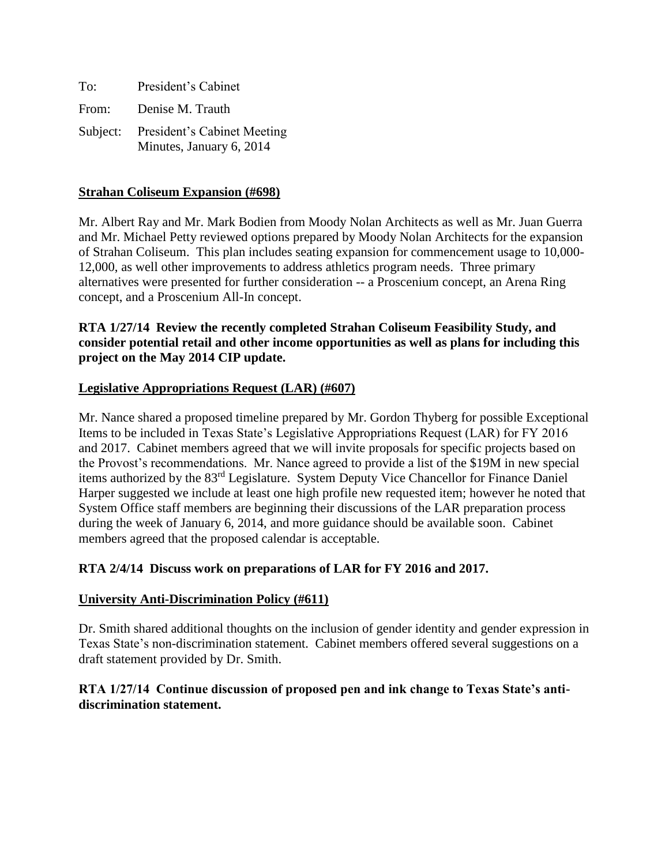| To:   | President's Cabinet                                              |
|-------|------------------------------------------------------------------|
| From: | Denise M. Trauth                                                 |
|       | Subject: President's Cabinet Meeting<br>Minutes, January 6, 2014 |

### **Strahan Coliseum Expansion (#698)**

Mr. Albert Ray and Mr. Mark Bodien from Moody Nolan Architects as well as Mr. Juan Guerra and Mr. Michael Petty reviewed options prepared by Moody Nolan Architects for the expansion of Strahan Coliseum. This plan includes seating expansion for commencement usage to 10,000- 12,000, as well other improvements to address athletics program needs. Three primary alternatives were presented for further consideration -- a Proscenium concept, an Arena Ring concept, and a Proscenium All-In concept.

# **RTA 1/27/14 Review the recently completed Strahan Coliseum Feasibility Study, and consider potential retail and other income opportunities as well as plans for including this project on the May 2014 CIP update.**

# **Legislative Appropriations Request (LAR) (#607)**

Mr. Nance shared a proposed timeline prepared by Mr. Gordon Thyberg for possible Exceptional Items to be included in Texas State's Legislative Appropriations Request (LAR) for FY 2016 and 2017. Cabinet members agreed that we will invite proposals for specific projects based on the Provost's recommendations. Mr. Nance agreed to provide a list of the \$19M in new special items authorized by the 83rd Legislature. System Deputy Vice Chancellor for Finance Daniel Harper suggested we include at least one high profile new requested item; however he noted that System Office staff members are beginning their discussions of the LAR preparation process during the week of January 6, 2014, and more guidance should be available soon. Cabinet members agreed that the proposed calendar is acceptable.

### **RTA 2/4/14 Discuss work on preparations of LAR for FY 2016 and 2017.**

### **University Anti-Discrimination Policy (#611)**

Dr. Smith shared additional thoughts on the inclusion of gender identity and gender expression in Texas State's non-discrimination statement. Cabinet members offered several suggestions on a draft statement provided by Dr. Smith.

# **RTA 1/27/14 Continue discussion of proposed pen and ink change to Texas State's antidiscrimination statement.**